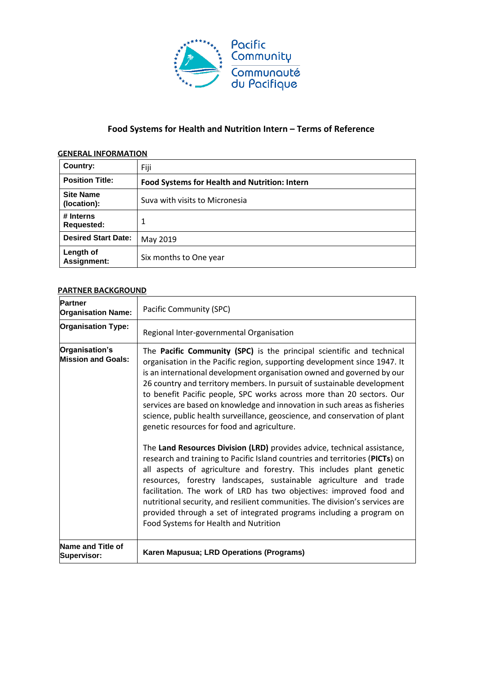

# **Food Systems for Health and Nutrition Intern – Terms of Reference**

### **GENERAL INFORMATION**

| Country:                        | Fiji                                                 |
|---------------------------------|------------------------------------------------------|
| <b>Position Title:</b>          | <b>Food Systems for Health and Nutrition: Intern</b> |
| <b>Site Name</b><br>(location): | Suva with visits to Micronesia                       |
| # Interns<br><b>Requested:</b>  | 1                                                    |
| <b>Desired Start Date:</b>      | May 2019                                             |
| Length of<br>Assignment:        | Six months to One year                               |

#### **PARTNER BACKGROUND**

| <b>Partner</b><br><b>Organisation Name:</b> | Pacific Community (SPC)                                                                                                                                                                                                                                                                                                                                                                                                                                                                                                                                                                                                                                                                                                                                                                                                                                                                                                                                                                                                                                                                                                                                                     |
|---------------------------------------------|-----------------------------------------------------------------------------------------------------------------------------------------------------------------------------------------------------------------------------------------------------------------------------------------------------------------------------------------------------------------------------------------------------------------------------------------------------------------------------------------------------------------------------------------------------------------------------------------------------------------------------------------------------------------------------------------------------------------------------------------------------------------------------------------------------------------------------------------------------------------------------------------------------------------------------------------------------------------------------------------------------------------------------------------------------------------------------------------------------------------------------------------------------------------------------|
| <b>Organisation Type:</b>                   | Regional Inter-governmental Organisation                                                                                                                                                                                                                                                                                                                                                                                                                                                                                                                                                                                                                                                                                                                                                                                                                                                                                                                                                                                                                                                                                                                                    |
| Organisation's<br><b>Mission and Goals:</b> | The Pacific Community (SPC) is the principal scientific and technical<br>organisation in the Pacific region, supporting development since 1947. It<br>is an international development organisation owned and governed by our<br>26 country and territory members. In pursuit of sustainable development<br>to benefit Pacific people, SPC works across more than 20 sectors. Our<br>services are based on knowledge and innovation in such areas as fisheries<br>science, public health surveillance, geoscience, and conservation of plant<br>genetic resources for food and agriculture.<br>The Land Resources Division (LRD) provides advice, technical assistance,<br>research and training to Pacific Island countries and territories (PICTs) on<br>all aspects of agriculture and forestry. This includes plant genetic<br>resources, forestry landscapes, sustainable agriculture and trade<br>facilitation. The work of LRD has two objectives: improved food and<br>nutritional security, and resilient communities. The division's services are<br>provided through a set of integrated programs including a program on<br>Food Systems for Health and Nutrition |
| Name and Title of<br>Supervisor:            | Karen Mapusua; LRD Operations (Programs)                                                                                                                                                                                                                                                                                                                                                                                                                                                                                                                                                                                                                                                                                                                                                                                                                                                                                                                                                                                                                                                                                                                                    |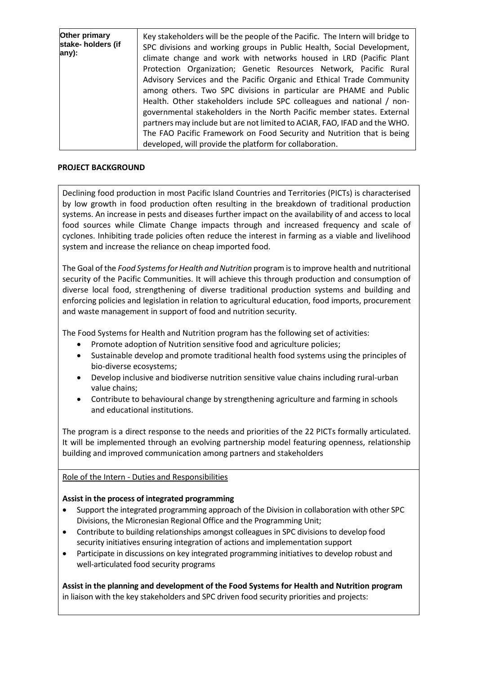| Other primary<br>stake- holders (if<br>any): | Key stakeholders will be the people of the Pacific. The Intern will bridge to<br>SPC divisions and working groups in Public Health, Social Development,<br>climate change and work with networks housed in LRD (Pacific Plant<br>Protection Organization; Genetic Resources Network, Pacific Rural<br>Advisory Services and the Pacific Organic and Ethical Trade Community<br>among others. Two SPC divisions in particular are PHAME and Public<br>Health. Other stakeholders include SPC colleagues and national / non-<br>governmental stakeholders in the North Pacific member states. External<br>partners may include but are not limited to ACIAR, FAO, IFAD and the WHO.<br>The FAO Pacific Framework on Food Security and Nutrition that is being |
|----------------------------------------------|-------------------------------------------------------------------------------------------------------------------------------------------------------------------------------------------------------------------------------------------------------------------------------------------------------------------------------------------------------------------------------------------------------------------------------------------------------------------------------------------------------------------------------------------------------------------------------------------------------------------------------------------------------------------------------------------------------------------------------------------------------------|
|                                              | developed, will provide the platform for collaboration.                                                                                                                                                                                                                                                                                                                                                                                                                                                                                                                                                                                                                                                                                                     |

#### **PROJECT BACKGROUND**

Declining food production in most Pacific Island Countries and Territories (PICTs) is characterised by low growth in food production often resulting in the breakdown of traditional production systems. An increase in pests and diseases further impact on the availability of and access to local food sources while Climate Change impacts through and increased frequency and scale of cyclones. Inhibiting trade policies often reduce the interest in farming as a viable and livelihood system and increase the reliance on cheap imported food.

The Goal of the *Food Systems for Health and Nutrition* program is to improve health and nutritional security of the Pacific Communities. It will achieve this through production and consumption of diverse local food, strengthening of diverse traditional production systems and building and enforcing policies and legislation in relation to agricultural education, food imports, procurement and waste management in support of food and nutrition security.

The Food Systems for Health and Nutrition program has the following set of activities:

- Promote adoption of Nutrition sensitive food and agriculture policies;
- Sustainable develop and promote traditional health food systems using the principles of bio-diverse ecosystems;
- Develop inclusive and biodiverse nutrition sensitive value chains including rural-urban value chains;
- Contribute to behavioural change by strengthening agriculture and farming in schools and educational institutions.

The program is a direct response to the needs and priorities of the 22 PICTs formally articulated. It will be implemented through an evolving partnership model featuring openness, relationship building and improved communication among partners and stakeholders

### Role of the Intern - Duties and Responsibilities

### **Assist in the process of integrated programming**

- Support the integrated programming approach of the Division in collaboration with other SPC Divisions, the Micronesian Regional Office and the Programming Unit;
- Contribute to building relationships amongst colleagues in SPC divisions to develop food security initiatives ensuring integration of actions and implementation support
- Participate in discussions on key integrated programming initiatives to develop robust and well-articulated food security programs

**Assist in the planning and development of the Food Systems for Health and Nutrition program** in liaison with the key stakeholders and SPC driven food security priorities and projects: